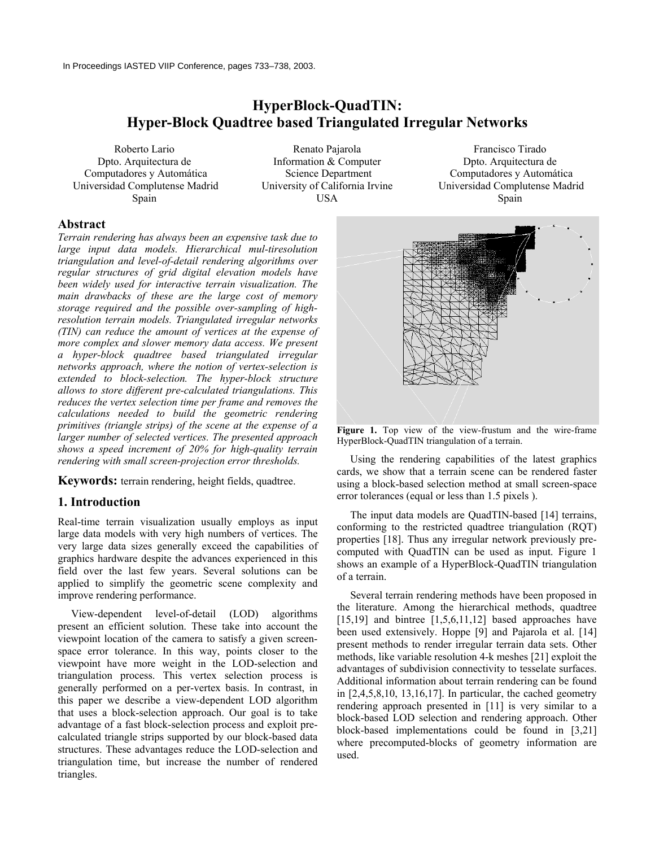# **HyperBlock-QuadTIN: Hyper-Block Quadtree based Triangulated Irregular Networks**

Roberto Lario Dpto. Arquitectura de Computadores y Automática Universidad Complutense Madrid Spain

Renato Pajarola Information & Computer Science Department University of California Irvine USA

Francisco Tirado Dpto. Arquitectura de Computadores y Automática Universidad Complutense Madrid Spain

# **Abstract**

*Terrain rendering has always been an expensive task due to large input data models. Hierarchical mul-tiresolution triangulation and level-of-detail rendering algorithms over regular structures of grid digital elevation models have been widely used for interactive terrain visualization. The main drawbacks of these are the large cost of memory storage required and the possible over-sampling of highresolution terrain models. Triangulated irregular networks (TIN) can reduce the amount of vertices at the expense of more complex and slower memory data access. We present a hyper-block quadtree based triangulated irregular networks approach, where the notion of vertex-selection is extended to block-selection. The hyper-block structure allows to store different pre-calculated triangulations. This reduces the vertex selection time per frame and removes the calculations needed to build the geometric rendering primitives (triangle strips) of the scene at the expense of a larger number of selected vertices. The presented approach shows a speed increment of 20% for high-quality terrain rendering with small screen-projection error thresholds.*

**Keywords:** terrain rendering, height fields, quadtree.

# **1. Introduction**

Real-time terrain visualization usually employs as input large data models with very high numbers of vertices. The very large data sizes generally exceed the capabilities of graphics hardware despite the advances experienced in this field over the last few years. Several solutions can be applied to simplify the geometric scene complexity and improve rendering performance.

 View-dependent level-of-detail (LOD) algorithms present an efficient solution. These take into account the viewpoint location of the camera to satisfy a given screenspace error tolerance. In this way, points closer to the viewpoint have more weight in the LOD-selection and triangulation process. This vertex selection process is generally performed on a per-vertex basis. In contrast, in this paper we describe a view-dependent LOD algorithm that uses a block-selection approach. Our goal is to take advantage of a fast block-selection process and exploit precalculated triangle strips supported by our block-based data structures. These advantages reduce the LOD-selection and triangulation time, but increase the number of rendered triangles.



Figure 1. Top view of the view-frustum and the wire-frame HyperBlock-QuadTIN triangulation of a terrain.

 Using the rendering capabilities of the latest graphics cards, we show that a terrain scene can be rendered faster using a block-based selection method at small screen-space error tolerances (equal or less than 1.5 pixels ).

 The input data models are QuadTIN-based [14] terrains, conforming to the restricted quadtree triangulation (RQT) properties [18]. Thus any irregular network previously precomputed with QuadTIN can be used as input. Figure 1 shows an example of a HyperBlock-QuadTIN triangulation of a terrain.

 Several terrain rendering methods have been proposed in the literature. Among the hierarchical methods, quadtree [15,19] and bintree  $[1,5,6,11,12]$  based approaches have been used extensively. Hoppe [9] and Pajarola et al. [14] present methods to render irregular terrain data sets. Other methods, like variable resolution 4-k meshes [21] exploit the advantages of subdivision connectivity to tesselate surfaces. Additional information about terrain rendering can be found in  $[2,4,5,8,10, 13,16,17]$ . In particular, the cached geometry rendering approach presented in [11] is very similar to a block-based LOD selection and rendering approach. Other block-based implementations could be found in [3,21] where precomputed-blocks of geometry information are used.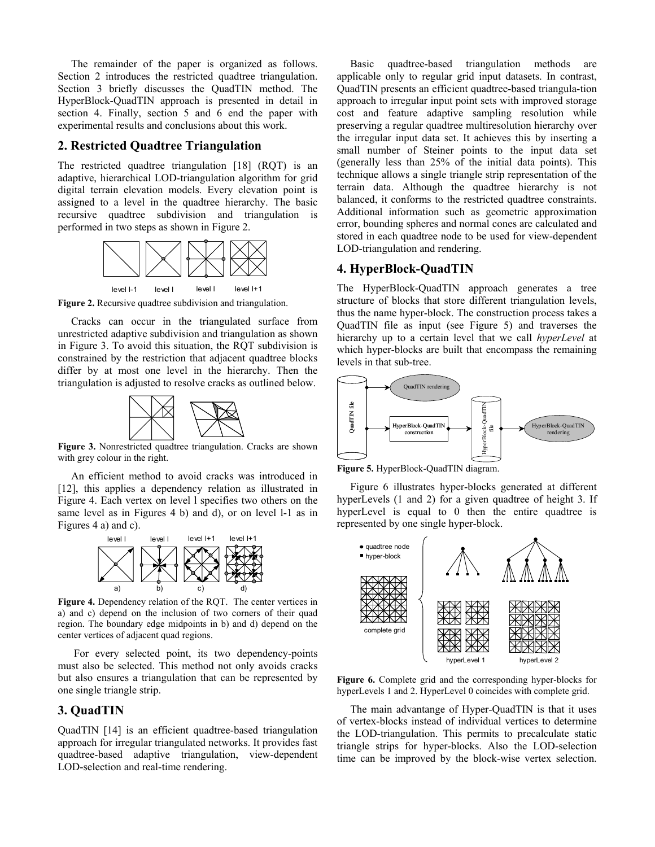The remainder of the paper is organized as follows. Section 2 introduces the restricted quadtree triangulation. Section 3 briefly discusses the QuadTIN method. The HyperBlock-QuadTIN approach is presented in detail in section 4. Finally, section 5 and 6 end the paper with experimental results and conclusions about this work.

# **2. Restricted Quadtree Triangulation**

The restricted quadtree triangulation [18] (RQT) is an adaptive, hierarchical LOD-triangulation algorithm for grid digital terrain elevation models. Every elevation point is assigned to a level in the quadtree hierarchy. The basic recursive quadtree subdivision and triangulation is performed in two steps as shown in Figure 2.



**Figure 2.** Recursive quadtree subdivision and triangulation.

 Cracks can occur in the triangulated surface from unrestricted adaptive subdivision and triangulation as shown in Figure 3. To avoid this situation, the RQT subdivision is constrained by the restriction that adjacent quadtree blocks differ by at most one level in the hierarchy. Then the triangulation is adjusted to resolve cracks as outlined below.



**Figure 3.** Nonrestricted quadtree triangulation. Cracks are shown with grey colour in the right.

 An efficient method to avoid cracks was introduced in [12], this applies a dependency relation as illustrated in Figure 4. Each vertex on level l specifies two others on the same level as in Figures 4 b) and d), or on level l-1 as in Figures 4 a) and c).



Figure 4. Dependency relation of the ROT. The center vertices in a) and c) depend on the inclusion of two corners of their quad region. The boundary edge midpoints in b) and d) depend on the center vertices of adjacent quad regions.

 For every selected point, its two dependency-points must also be selected. This method not only avoids cracks but also ensures a triangulation that can be represented by one single triangle strip.

# **3. QuadTIN**

QuadTIN [14] is an efficient quadtree-based triangulation approach for irregular triangulated networks. It provides fast quadtree-based adaptive triangulation, view-dependent LOD-selection and real-time rendering.

Basic quadtree-based triangulation methods are applicable only to regular grid input datasets. In contrast, QuadTIN presents an efficient quadtree-based triangula-tion approach to irregular input point sets with improved storage cost and feature adaptive sampling resolution while preserving a regular quadtree multiresolution hierarchy over the irregular input data set. It achieves this by inserting a small number of Steiner points to the input data set (generally less than 25% of the initial data points). This technique allows a single triangle strip representation of the terrain data. Although the quadtree hierarchy is not balanced, it conforms to the restricted quadtree constraints. Additional information such as geometric approximation error, bounding spheres and normal cones are calculated and stored in each quadtree node to be used for view-dependent LOD-triangulation and rendering.

#### **4. HyperBlock-QuadTIN**

The HyperBlock-QuadTIN approach generates a tree structure of blocks that store different triangulation levels, thus the name hyper-block. The construction process takes a QuadTIN file as input (see Figure 5) and traverses the hierarchy up to a certain level that we call *hyperLevel* at which hyper-blocks are built that encompass the remaining levels in that sub-tree.



**Figure 5.** HyperBlock-QuadTIN diagram.

Figure 6 illustrates hyper-blocks generated at different hyperLevels (1 and 2) for a given quadtree of height 3. If hyperLevel is equal to 0 then the entire quadtree is represented by one single hyper-block.



**Figure 6.** Complete grid and the corresponding hyper-blocks for hyperLevels 1 and 2. HyperLevel 0 coincides with complete grid.

 The main advantange of Hyper-QuadTIN is that it uses of vertex-blocks instead of individual vertices to determine the LOD-triangulation. This permits to precalculate static triangle strips for hyper-blocks. Also the LOD-selection time can be improved by the block-wise vertex selection.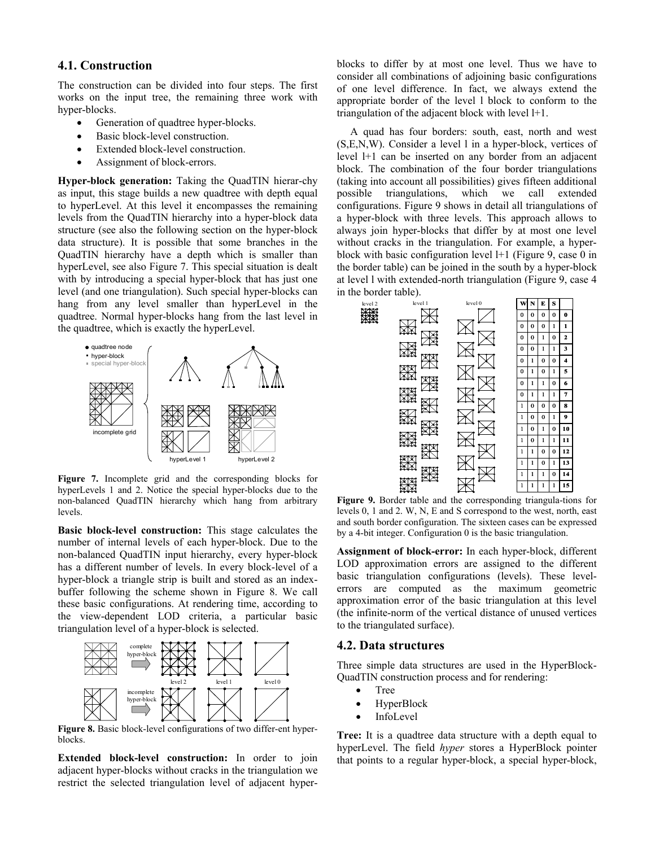# **4.1. Construction**

The construction can be divided into four steps. The first works on the input tree, the remaining three work with hyper-blocks.

- Generation of quadtree hyper-blocks.
- Basic block-level construction.
- Extended block-level construction.
- Assignment of block-errors.

**Hyper-block generation:** Taking the QuadTIN hierar-chy as input, this stage builds a new quadtree with depth equal to hyperLevel. At this level it encompasses the remaining levels from the QuadTIN hierarchy into a hyper-block data structure (see also the following section on the hyper-block data structure). It is possible that some branches in the QuadTIN hierarchy have a depth which is smaller than hyperLevel, see also Figure 7. This special situation is dealt with by introducing a special hyper-block that has just one level (and one triangulation). Such special hyper-blocks can hang from any level smaller than hyperLevel in the quadtree. Normal hyper-blocks hang from the last level in the quadtree, which is exactly the hyperLevel.



**Figure 7.** Incomplete grid and the corresponding blocks for hyperLevels 1 and 2. Notice the special hyper-blocks due to the non-balanced QuadTIN hierarchy which hang from arbitrary levels.

**Basic block-level construction:** This stage calculates the number of internal levels of each hyper-block. Due to the non-balanced QuadTIN input hierarchy, every hyper-block has a different number of levels. In every block-level of a hyper-block a triangle strip is built and stored as an indexbuffer following the scheme shown in Figure 8. We call these basic configurations. At rendering time, according to the view-dependent LOD criteria, a particular basic triangulation level of a hyper-block is selected.



**Figure 8.** Basic block-level configurations of two differ-ent hyperblocks.

**Extended block-level construction:** In order to join adjacent hyper-blocks without cracks in the triangulation we restrict the selected triangulation level of adjacent hyperblocks to differ by at most one level. Thus we have to consider all combinations of adjoining basic configurations of one level difference. In fact, we always extend the appropriate border of the level l block to conform to the triangulation of the adjacent block with level l+1.

A quad has four borders: south, east, north and west (S,E,N,W). Consider a level l in a hyper-block, vertices of level l+1 can be inserted on any border from an adjacent block. The combination of the four border triangulations (taking into account all possibilities) gives fifteen additional possible triangulations, which we call extended configurations. Figure 9 shows in detail all triangulations of a hyper-block with three levels. This approach allows to always join hyper-blocks that differ by at most one level without cracks in the triangulation. For example, a hyperblock with basic configuration level l+1 (Figure 9, case 0 in the border table) can be joined in the south by a hyper-block at level l with extended-north triangulation (Figure 9, case 4 in the border table).



**Figure 9.** Border table and the corresponding triangula-tions for levels 0, 1 and 2. W, N, E and S correspond to the west, north, east and south border configuration. The sixteen cases can be expressed by a 4-bit integer. Configuration 0 is the basic triangulation.

**Assignment of block-error:** In each hyper-block, different LOD approximation errors are assigned to the different basic triangulation configurations (levels). These levelerrors are computed as the maximum geometric approximation error of the basic triangulation at this level (the infinite-norm of the vertical distance of unused vertices to the triangulated surface).

#### **4.2. Data structures**

Three simple data structures are used in the HyperBlock-QuadTIN construction process and for rendering:

- Tree
- HyperBlock
- **InfoLevel**

**Tree:** It is a quadtree data structure with a depth equal to hyperLevel. The field *hyper* stores a HyperBlock pointer that points to a regular hyper-block, a special hyper-block,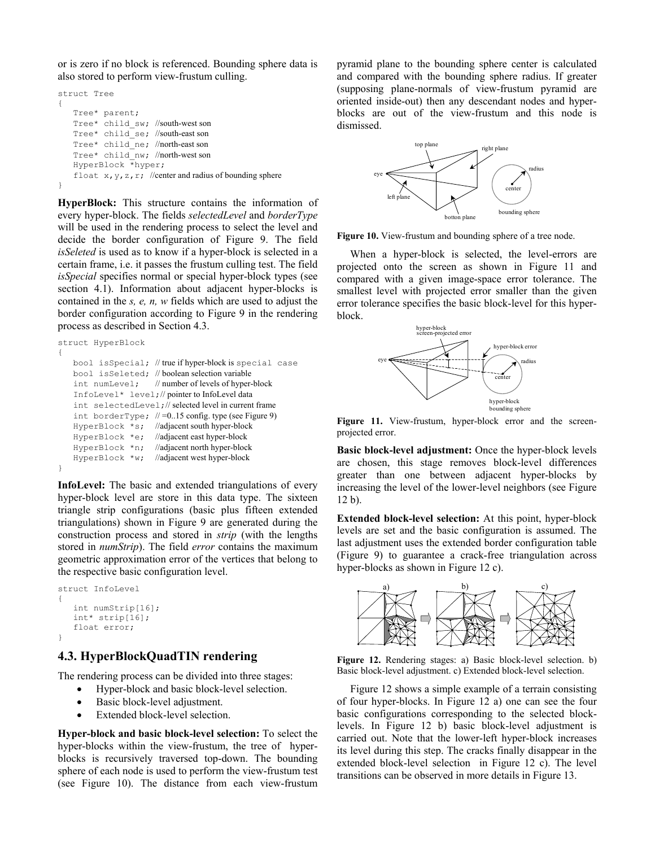or is zero if no block is referenced. Bounding sphere data is also stored to perform view-frustum culling.

```
struct Tree 
{ 
    Tree* parent; 
    Tree* child_sw; //south-west son 
    Tree* child_se; //south-east son 
    Tree* child_ne; //north-east son 
    Tree* child_nw; //north-west son 
    HyperBlock *hyper; 
    float x, y, z, r; //center and radius of bounding sphere
}
```
**HyperBlock:** This structure contains the information of every hyper-block. The fields *selectedLevel* and *borderType* will be used in the rendering process to select the level and decide the border configuration of Figure 9. The field *isSeleted* is used as to know if a hyper-block is selected in a certain frame, i.e. it passes the frustum culling test. The field *isSpecial* specifies normal or special hyper-block types (see section 4.1). Information about adjacent hyper-blocks is contained in the *s, e, n, w* fields which are used to adjust the border configuration according to Figure 9 in the rendering process as described in Section 4.3.

```
struct HyperBlock 
{ 
     bool isSpecial; // true if hyper-block is special case 
     bool isSeleted; // boolean selection variable 
     int numLevel; // number of levels of hyper-block
     InfoLevel* level;// pointer to InfoLevel data 
     int selectedLevel;// selected level in current frame 
    int borderType; / =0..15 config. type (see Figure 9)
     HyperBlock *s; //adjacent south hyper-block 
     HyperBlock *e; //adjacent east hyper-block 
    HyperBlock *n; //adjacent north hyper-block<br>HyperBlock *w; //adjacent west hyper-block
                         //adjacent west hyper-block
}
```
**InfoLevel:** The basic and extended triangulations of every hyper-block level are store in this data type. The sixteen triangle strip configurations (basic plus fifteen extended triangulations) shown in Figure 9 are generated during the construction process and stored in *strip* (with the lengths stored in *numStrip*). The field *error* contains the maximum geometric approximation error of the vertices that belong to the respective basic configuration level.

```
struct InfoLevel 
{ 
    int numStrip[16]; 
    int* strip[16]; 
    float error; 
}
```
# **4.3. HyperBlockQuadTIN rendering**

The rendering process can be divided into three stages:

- Hyper-block and basic block-level selection.
- Basic block-level adjustment.
- Extended block-level selection

**Hyper-block and basic block-level selection:** To select the hyper-blocks within the view-frustum, the tree of hyperblocks is recursively traversed top-down. The bounding sphere of each node is used to perform the view-frustum test (see Figure 10). The distance from each view-frustum

pyramid plane to the bounding sphere center is calculated and compared with the bounding sphere radius. If greater (supposing plane-normals of view-frustum pyramid are oriented inside-out) then any descendant nodes and hyperblocks are out of the view-frustum and this node is dismissed.



Figure 10. View-frustum and bounding sphere of a tree node.

When a hyper-block is selected, the level-errors are projected onto the screen as shown in Figure 11 and compared with a given image-space error tolerance. The smallest level with projected error smaller than the given error tolerance specifies the basic block-level for this hyperblock.



Figure 11. View-frustum, hyper-block error and the screenprojected error.

**Basic block-level adjustment:** Once the hyper-block levels are chosen, this stage removes block-level differences greater than one between adjacent hyper-blocks by increasing the level of the lower-level neighbors (see Figure 12 b).

**Extended block-level selection:** At this point, hyper-block levels are set and the basic configuration is assumed. The last adjustment uses the extended border configuration table (Figure 9) to guarantee a crack-free triangulation across hyper-blocks as shown in Figure 12 c).



**Figure 12.** Rendering stages: a) Basic block-level selection. b) Basic block-level adjustment. c) Extended block-level selection.

Figure 12 shows a simple example of a terrain consisting of four hyper-blocks. In Figure 12 a) one can see the four basic configurations corresponding to the selected blocklevels. In Figure 12 b) basic block-level adjustment is carried out. Note that the lower-left hyper-block increases its level during this step. The cracks finally disappear in the extended block-level selection in Figure 12 c). The level transitions can be observed in more details in Figure 13.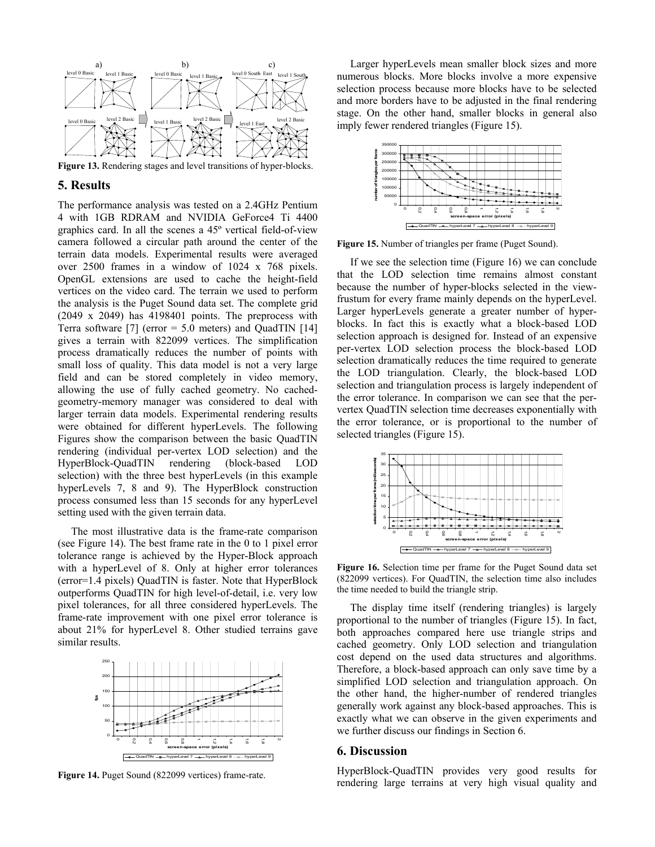

**Figure 13.** Rendering stages and level transitions of hyper-blocks.

#### **5. Results**

The performance analysis was tested on a 2.4GHz Pentium 4 with 1GB RDRAM and NVIDIA GeForce4 Ti 4400 graphics card. In all the scenes a 45º vertical field-of-view camera followed a circular path around the center of the terrain data models. Experimental results were averaged over 2500 frames in a window of 1024 x 768 pixels. OpenGL extensions are used to cache the height-field vertices on the video card. The terrain we used to perform the analysis is the Puget Sound data set. The complete grid (2049 x 2049) has 4198401 points. The preprocess with Terra software [7] (error = 5.0 meters) and QuadTIN [14] gives a terrain with 822099 vertices. The simplification process dramatically reduces the number of points with small loss of quality. This data model is not a very large field and can be stored completely in video memory, allowing the use of fully cached geometry. No cachedgeometry-memory manager was considered to deal with larger terrain data models. Experimental rendering results were obtained for different hyperLevels. The following Figures show the comparison between the basic QuadTIN rendering (individual per-vertex LOD selection) and the HyperBlock-QuadTIN rendering (block-based LOD selection) with the three best hyperLevels (in this example hyperLevels 7, 8 and 9). The HyperBlock construction process consumed less than 15 seconds for any hyperLevel setting used with the given terrain data.

The most illustrative data is the frame-rate comparison (see Figure 14). The best frame rate in the 0 to 1 pixel error tolerance range is achieved by the Hyper-Block approach with a hyperLevel of 8. Only at higher error tolerances (error=1.4 pixels) QuadTIN is faster. Note that HyperBlock outperforms QuadTIN for high level-of-detail, i.e. very low pixel tolerances, for all three considered hyperLevels. The frame-rate improvement with one pixel error tolerance is about 21% for hyperLevel 8. Other studied terrains gave similar results.



**Figure 14.** Puget Sound (822099 vertices) frame-rate.

Larger hyperLevels mean smaller block sizes and more numerous blocks. More blocks involve a more expensive selection process because more blocks have to be selected and more borders have to be adjusted in the final rendering stage. On the other hand, smaller blocks in general also imply fewer rendered triangles (Figure 15).



**Figure 15.** Number of triangles per frame (Puget Sound).

If we see the selection time (Figure 16) we can conclude that the LOD selection time remains almost constant because the number of hyper-blocks selected in the viewfrustum for every frame mainly depends on the hyperLevel. Larger hyperLevels generate a greater number of hyperblocks. In fact this is exactly what a block-based LOD selection approach is designed for. Instead of an expensive per-vertex LOD selection process the block-based LOD selection dramatically reduces the time required to generate the LOD triangulation. Clearly, the block-based LOD selection and triangulation process is largely independent of the error tolerance. In comparison we can see that the pervertex QuadTIN selection time decreases exponentially with the error tolerance, or is proportional to the number of selected triangles (Figure 15).



**Figure 16.** Selection time per frame for the Puget Sound data set (822099 vertices). For QuadTIN, the selection time also includes the time needed to build the triangle strip.

The display time itself (rendering triangles) is largely proportional to the number of triangles (Figure 15). In fact, both approaches compared here use triangle strips and cached geometry. Only LOD selection and triangulation cost depend on the used data structures and algorithms. Therefore, a block-based approach can only save time by a simplified LOD selection and triangulation approach. On the other hand, the higher-number of rendered triangles generally work against any block-based approaches. This is exactly what we can observe in the given experiments and we further discuss our findings in Section 6.

#### **6. Discussion**

HyperBlock-QuadTIN provides very good results for rendering large terrains at very high visual quality and